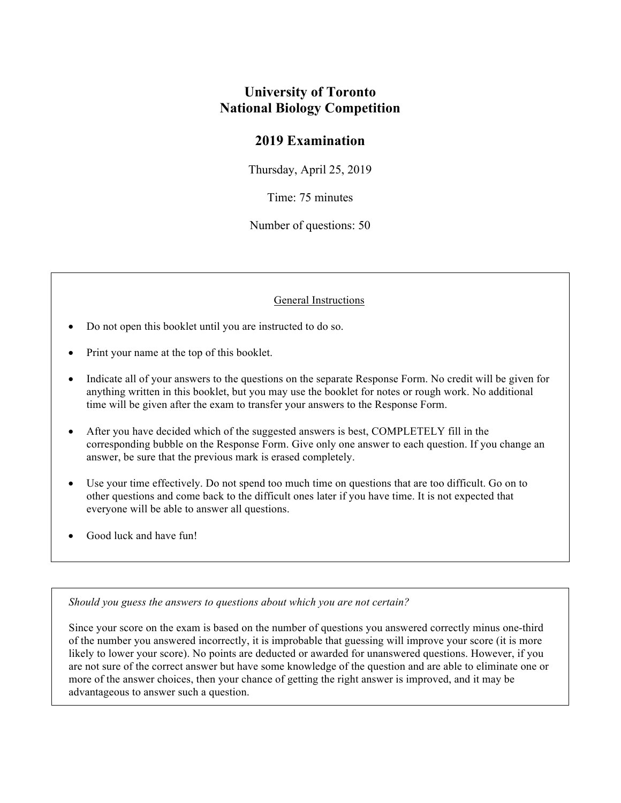## **University of Toronto National Biology Competition**

## **2019 Examination**

Thursday, April 25, 2019

Time: 75 minutes

Number of questions: 50

General Instructions

- Do not open this booklet until you are instructed to do so.
- Print your name at the top of this booklet.
- Indicate all of your answers to the questions on the separate Response Form. No credit will be given for anything written in this booklet, but you may use the booklet for notes or rough work. No additional time will be given after the exam to transfer your answers to the Response Form.
- After you have decided which of the suggested answers is best, COMPLETELY fill in the corresponding bubble on the Response Form. Give only one answer to each question. If you change an answer, be sure that the previous mark is erased completely.
- Use your time effectively. Do not spend too much time on questions that are too difficult. Go on to other questions and come back to the difficult ones later if you have time. It is not expected that everyone will be able to answer all questions.
- Good luck and have fun!

*Should you guess the answers to questions about which you are not certain?* 

Since your score on the exam is based on the number of questions you answered correctly minus one-third of the number you answered incorrectly, it is improbable that guessing will improve your score (it is more likely to lower your score). No points are deducted or awarded for unanswered questions. However, if you are not sure of the correct answer but have some knowledge of the question and are able to eliminate one or more of the answer choices, then your chance of getting the right answer is improved, and it may be advantageous to answer such a question.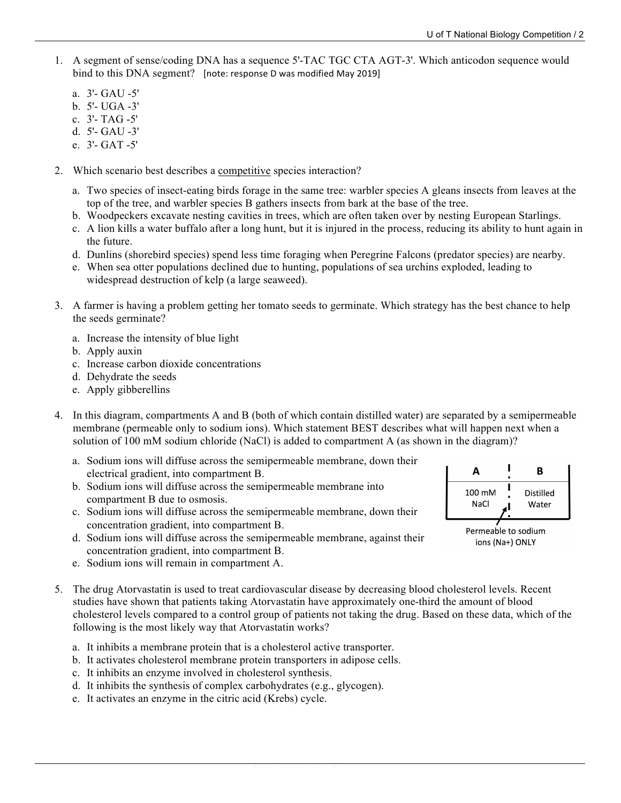- 1. A segment of sense/coding DNA has a sequence 5'-TAC TGC CTA AGT-3'. Which anticodon sequence would bind to this DNA segment? [note: response D was modified May 2019]
	- a. 3'- GAU -5'
	- b. 5'- UGA -3'
	- c. 3'- TAG -5'
	- d. 5'- GAU -3'
	- e. 3'- GAT -5'
- 2. Which scenario best describes a competitive species interaction?
	- a. Two species of insect-eating birds forage in the same tree: warbler species A gleans insects from leaves at the top of the tree, and warbler species B gathers insects from bark at the base of the tree.
	- b. Woodpeckers excavate nesting cavities in trees, which are often taken over by nesting European Starlings.
	- c. A lion kills a water buffalo after a long hunt, but it is injured in the process, reducing its ability to hunt again in the future.
	- d. Dunlins (shorebird species) spend less time foraging when Peregrine Falcons (predator species) are nearby.
	- e. When sea otter populations declined due to hunting, populations of sea urchins exploded, leading to widespread destruction of kelp (a large seaweed).
- 3. A farmer is having a problem getting her tomato seeds to germinate. Which strategy has the best chance to help the seeds germinate?
	- a. Increase the intensity of blue light
	- b. Apply auxin
	- c. Increase carbon dioxide concentrations
	- d. Dehydrate the seeds
	- e. Apply gibberellins
- 4. In this diagram, compartments A and B (both of which contain distilled water) are separated by a semipermeable membrane (permeable only to sodium ions). Which statement BEST describes what will happen next when a solution of 100 mM sodium chloride (NaCl) is added to compartment A (as shown in the diagram)?
	- a. Sodium ions will diffuse across the semipermeable membrane, down their electrical gradient, into compartment B.
	- b. Sodium ions will diffuse across the semipermeable membrane into compartment B due to osmosis.
	- c. Sodium ions will diffuse across the semipermeable membrane, down their concentration gradient, into compartment B.
	- d. Sodium ions will diffuse across the semipermeable membrane, against their concentration gradient, into compartment B.
	- e. Sodium ions will remain in compartment A.
- 5. The drug Atorvastatin is used to treat cardiovascular disease by decreasing blood cholesterol levels. Recent studies have shown that patients taking Atorvastatin have approximately one-third the amount of blood cholesterol levels compared to a control group of patients not taking the drug. Based on these data, which of the following is the most likely way that Atorvastatin works?
	- a. It inhibits a membrane protein that is a cholesterol active transporter.
	- b. It activates cholesterol membrane protein transporters in adipose cells.
	- c. It inhibits an enzyme involved in cholesterol synthesis.
	- d. It inhibits the synthesis of complex carbohydrates (e.g., glycogen).
	- e. It activates an enzyme in the citric acid (Krebs) cycle.



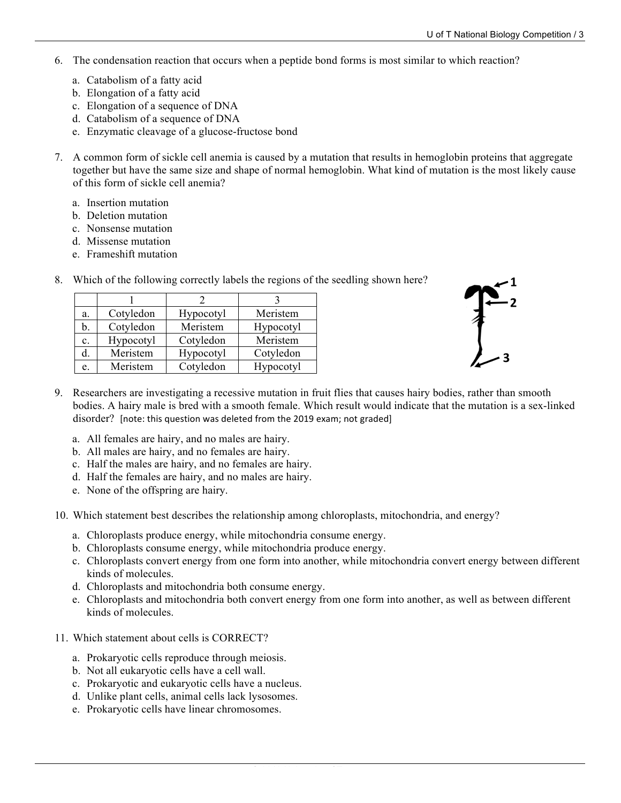- 6. The condensation reaction that occurs when a peptide bond forms is most similar to which reaction?
	- a. Catabolism of a fatty acid
	- b. Elongation of a fatty acid
	- c. Elongation of a sequence of DNA
	- d. Catabolism of a sequence of DNA
	- e. Enzymatic cleavage of a glucose-fructose bond
- 7. A common form of sickle cell anemia is caused by a mutation that results in hemoglobin proteins that aggregate together but have the same size and shape of normal hemoglobin. What kind of mutation is the most likely cause of this form of sickle cell anemia?
	- a. Insertion mutation
	- b. Deletion mutation
	- c. Nonsense mutation
	- d. Missense mutation
	- e. Frameshift mutation

| a.             | Cotyledon | Hypocotyl | Meristem  |
|----------------|-----------|-----------|-----------|
| b.             | Cotyledon | Meristem  | Hypocotyl |
| $\mathbf{c}$ . | Hypocotyl | Cotyledon | Meristem  |
|                | Meristem  | Hypocotyl | Cotyledon |
| e.             | Meristem  | Cotyledon | Hypocotyl |

8. Which of the following correctly labels the regions of the seedling shown here?



- 9. Researchers are investigating a recessive mutation in fruit flies that causes hairy bodies, rather than smooth bodies. A hairy male is bred with a smooth female. Which result would indicate that the mutation is a sex-linked disorder? [note: this question was deleted from the 2019 exam; not graded]
	- a. All females are hairy, and no males are hairy.
	- b. All males are hairy, and no females are hairy.
	- c. Half the males are hairy, and no females are hairy.
	- d. Half the females are hairy, and no males are hairy.
	- e. None of the offspring are hairy.
- 10. Which statement best describes the relationship among chloroplasts, mitochondria, and energy?
	- a. Chloroplasts produce energy, while mitochondria consume energy.
	- b. Chloroplasts consume energy, while mitochondria produce energy.
	- c. Chloroplasts convert energy from one form into another, while mitochondria convert energy between different kinds of molecules.
	- d. Chloroplasts and mitochondria both consume energy.
	- e. Chloroplasts and mitochondria both convert energy from one form into another, as well as between different kinds of molecules.
- 11. Which statement about cells is CORRECT?
	- a. Prokaryotic cells reproduce through meiosis.
	- b. Not all eukaryotic cells have a cell wall.
	- c. Prokaryotic and eukaryotic cells have a nucleus.
	- d. Unlike plant cells, animal cells lack lysosomes.
	- e. Prokaryotic cells have linear chromosomes.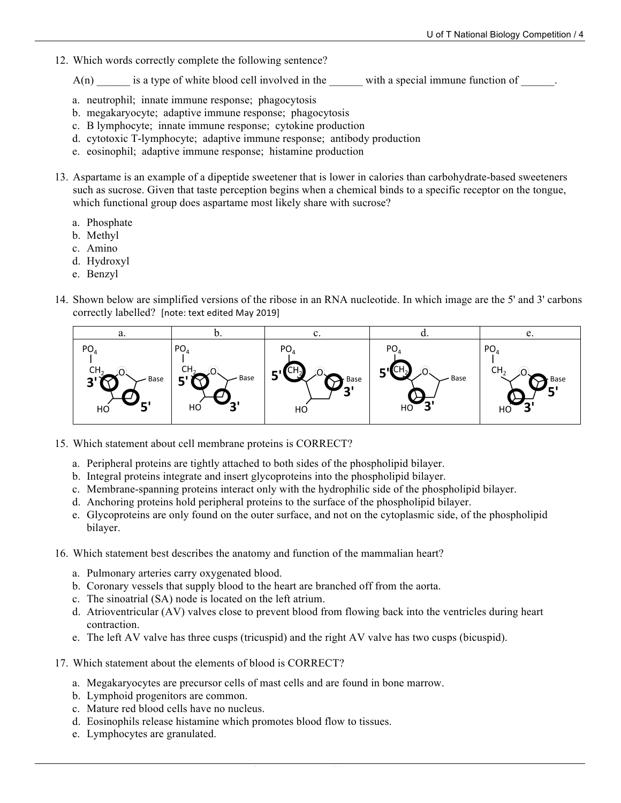12. Which words correctly complete the following sentence?

 $A(n)$  is a type of white blood cell involved in the with a special immune function of  $\blacksquare$ .

- a. neutrophil; innate immune response; phagocytosis
- b. megakaryocyte; adaptive immune response; phagocytosis
- c. B lymphocyte; innate immune response; cytokine production
- d. cytotoxic T-lymphocyte; adaptive immune response; antibody production
- e. eosinophil; adaptive immune response; histamine production
- 13. Aspartame is an example of a dipeptide sweetener that is lower in calories than carbohydrate-based sweeteners such as sucrose. Given that taste perception begins when a chemical binds to a specific receptor on the tongue, which functional group does aspartame most likely share with sucrose?
	- a. Phosphate
	- b. Methyl
	- c. Amino
	- d. Hydroxyl
	- e. Benzyl
- 14. Shown below are simplified versions of the ribose in an RNA nucleotide. In which image are the 5' and 3' carbons correctly labelled? [note: text edited May 2019]



- 15. Which statement about cell membrane proteins is CORRECT?
	- a. Peripheral proteins are tightly attached to both sides of the phospholipid bilayer.
	- b. Integral proteins integrate and insert glycoproteins into the phospholipid bilayer.
	- c. Membrane-spanning proteins interact only with the hydrophilic side of the phospholipid bilayer.
	- d. Anchoring proteins hold peripheral proteins to the surface of the phospholipid bilayer.
	- e. Glycoproteins are only found on the outer surface, and not on the cytoplasmic side, of the phospholipid bilayer.
- 16. Which statement best describes the anatomy and function of the mammalian heart?
	- a. Pulmonary arteries carry oxygenated blood.
	- b. Coronary vessels that supply blood to the heart are branched off from the aorta.
	- c. The sinoatrial (SA) node is located on the left atrium.
	- d. Atrioventricular (AV) valves close to prevent blood from flowing back into the ventricles during heart contraction.
	- e. The left AV valve has three cusps (tricuspid) and the right AV valve has two cusps (bicuspid).
- 17. Which statement about the elements of blood is CORRECT?
	- a. Megakaryocytes are precursor cells of mast cells and are found in bone marrow.
	- b. Lymphoid progenitors are common.
	- c. Mature red blood cells have no nucleus.
	- d. Eosinophils release histamine which promotes blood flow to tissues.
	- e. Lymphocytes are granulated.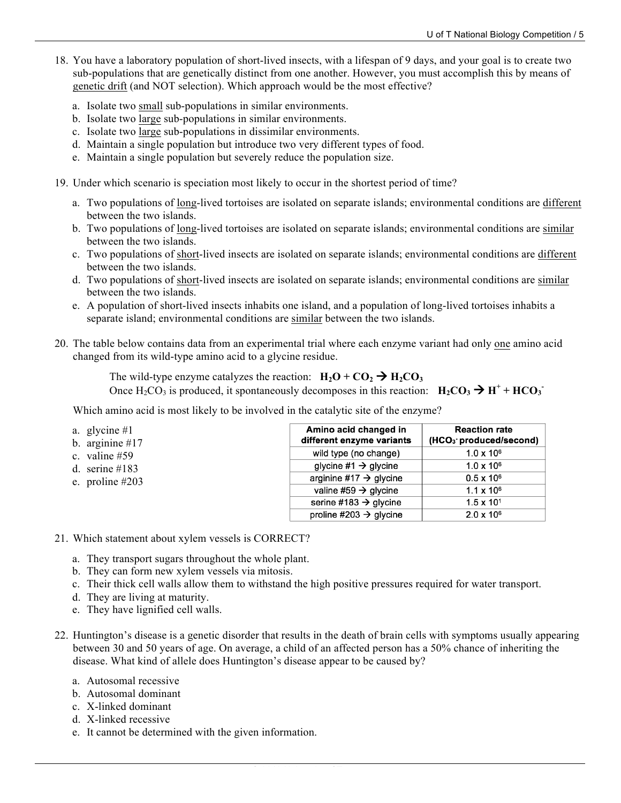- 18. You have a laboratory population of short-lived insects, with a lifespan of 9 days, and your goal is to create two sub-populations that are genetically distinct from one another. However, you must accomplish this by means of genetic drift (and NOT selection). Which approach would be the most effective?
	- a. Isolate two small sub-populations in similar environments.
	- b. Isolate two large sub-populations in similar environments.
	- c. Isolate two large sub-populations in dissimilar environments.
	- d. Maintain a single population but introduce two very different types of food.
	- e. Maintain a single population but severely reduce the population size.
- 19. Under which scenario is speciation most likely to occur in the shortest period of time?
	- a. Two populations of long-lived tortoises are isolated on separate islands; environmental conditions are different between the two islands.
	- b. Two populations of long-lived tortoises are isolated on separate islands; environmental conditions are similar between the two islands.
	- c. Two populations of short-lived insects are isolated on separate islands; environmental conditions are different between the two islands.
	- d. Two populations of short-lived insects are isolated on separate islands; environmental conditions are similar between the two islands.
	- e. A population of short-lived insects inhabits one island, and a population of long-lived tortoises inhabits a separate island; environmental conditions are similar between the two islands.
- 20. The table below contains data from an experimental trial where each enzyme variant had only one amino acid changed from its wild-type amino acid to a glycine residue.

The wild-type enzyme catalyzes the reaction:  $H_2O + CO_2 \rightarrow H_2CO_3$ Once  $H_2CO_3$  is produced, it spontaneously decomposes in this reaction:  $H_2CO_3 \rightarrow H^+ + HCO_3^-$ 

Which amino acid is most likely to be involved in the catalytic site of the enzyme?

| a. glycine $#1$<br>b. arginine $#17$ | Amino acid changed in<br>different enzyme variants | <b>Reaction rate</b><br>(HCO <sub>3</sub> produced/second) |
|--------------------------------------|----------------------------------------------------|------------------------------------------------------------|
| c. valine $#59$                      | wild type (no change)                              | $1.0 \times 10^{6}$                                        |
| d. serine $\#183$                    | glycine #1 $\rightarrow$ glycine                   | $1.0 \times 10^{6}$                                        |
| e. proline $#203$                    | arginine #17 $\rightarrow$ glycine                 | $0.5 \times 10^6$                                          |
|                                      | valine #59 $\rightarrow$ glycine                   | $1.1 \times 10^{6}$                                        |
|                                      | serine #183 $\rightarrow$ glycine                  | $1.5 \times 10^{1}$                                        |
|                                      | proline #203 $\rightarrow$ glycine                 | $2.0 \times 10^6$                                          |

- 21. Which statement about xylem vessels is CORRECT?
	- a. They transport sugars throughout the whole plant.
	- b. They can form new xylem vessels via mitosis.
	- c. Their thick cell walls allow them to withstand the high positive pressures required for water transport.
	- d. They are living at maturity.
	- e. They have lignified cell walls.
- 22. Huntington's disease is a genetic disorder that results in the death of brain cells with symptoms usually appearing between 30 and 50 years of age. On average, a child of an affected person has a 50% chance of inheriting the disease. What kind of allele does Huntington's disease appear to be caused by?
	- a. Autosomal recessive
	- b. Autosomal dominant
	- c. X-linked dominant
	- d. X-linked recessive
	- e. It cannot be determined with the given information.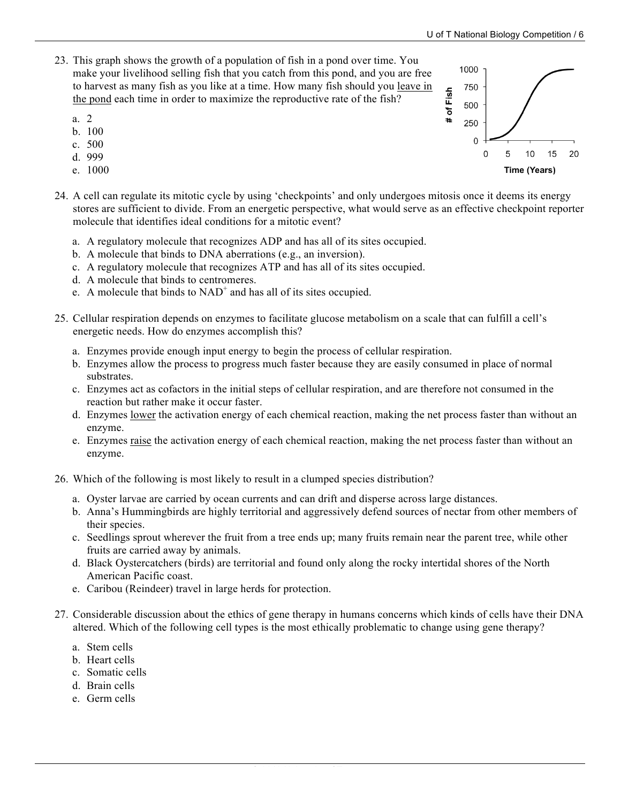- 23. This graph shows the growth of a population of fish in a pond over time. You make your livelihood selling fish that you catch from this pond, and you are free to harvest as many fish as you like at a time. How many fish should you leave in the pond each time in order to maximize the reproductive rate of the fish?
	- a. 2
	- b. 100
	- c. 500
	- d. 999
	- e. 1000
- 24. A cell can regulate its mitotic cycle by using 'checkpoints' and only undergoes mitosis once it deems its energy stores are sufficient to divide. From an energetic perspective, what would serve as an effective checkpoint reporter molecule that identifies ideal conditions for a mitotic event?
	- a. A regulatory molecule that recognizes ADP and has all of its sites occupied.
	- b. A molecule that binds to DNA aberrations (e.g., an inversion).
	- c. A regulatory molecule that recognizes ATP and has all of its sites occupied.
	- d. A molecule that binds to centromeres.
	- e. A molecule that binds to  $NAD^+$  and has all of its sites occupied.
- 25. Cellular respiration depends on enzymes to facilitate glucose metabolism on a scale that can fulfill a cell's energetic needs. How do enzymes accomplish this?
	- a. Enzymes provide enough input energy to begin the process of cellular respiration.
	- b. Enzymes allow the process to progress much faster because they are easily consumed in place of normal substrates.
	- c. Enzymes act as cofactors in the initial steps of cellular respiration, and are therefore not consumed in the reaction but rather make it occur faster.
	- d. Enzymes lower the activation energy of each chemical reaction, making the net process faster than without an enzyme.
	- e. Enzymes raise the activation energy of each chemical reaction, making the net process faster than without an enzyme.
- 26. Which of the following is most likely to result in a clumped species distribution?
	- a. Oyster larvae are carried by ocean currents and can drift and disperse across large distances.
	- b. Anna's Hummingbirds are highly territorial and aggressively defend sources of nectar from other members of their species.
	- c. Seedlings sprout wherever the fruit from a tree ends up; many fruits remain near the parent tree, while other fruits are carried away by animals.
	- d. Black Oystercatchers (birds) are territorial and found only along the rocky intertidal shores of the North American Pacific coast.
	- e. Caribou (Reindeer) travel in large herds for protection.
- 27. Considerable discussion about the ethics of gene therapy in humans concerns which kinds of cells have their DNA altered. Which of the following cell types is the most ethically problematic to change using gene therapy?
	- a. Stem cells
	- b. Heart cells
	- c. Somatic cells
	- d. Brain cells
	- e. Germ cells

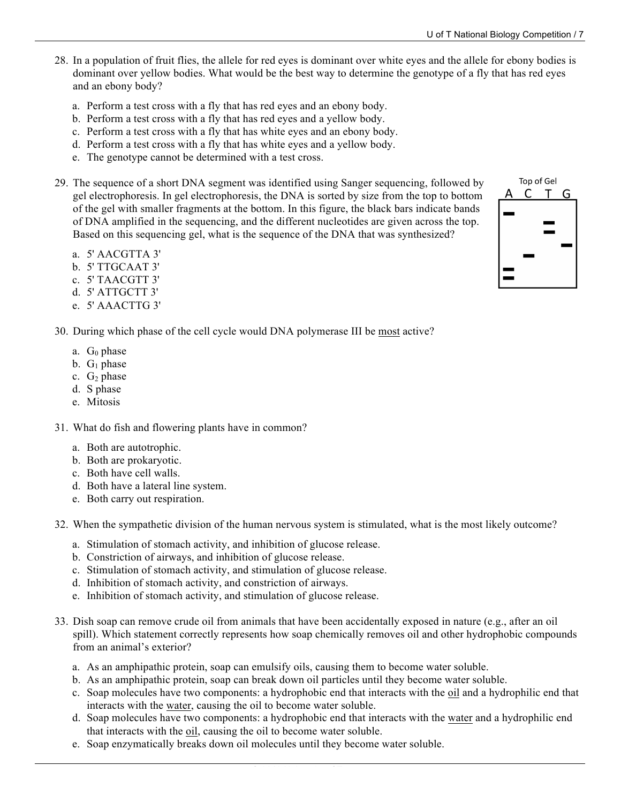- 28. In a population of fruit flies, the allele for red eyes is dominant over white eyes and the allele for ebony bodies is dominant over yellow bodies. What would be the best way to determine the genotype of a fly that has red eyes and an ebony body?
	- a. Perform a test cross with a fly that has red eyes and an ebony body.
	- b. Perform a test cross with a fly that has red eyes and a yellow body.
	- c. Perform a test cross with a fly that has white eyes and an ebony body.
	- d. Perform a test cross with a fly that has white eyes and a yellow body.
	- e. The genotype cannot be determined with a test cross.
- 29. The sequence of a short DNA segment was identified using Sanger sequencing, followed by gel electrophoresis. In gel electrophoresis, the DNA is sorted by size from the top to bottom of the gel with smaller fragments at the bottom. In this figure, the black bars indicate bands of DNA amplified in the sequencing, and the different nucleotides are given across the top. Based on this sequencing gel, what is the sequence of the DNA that was synthesized?
	- a. 5' AACGTTA 3'
	- b. 5' TTGCAAT 3'
	- c. 5' TAACGTT 3'
	- d. 5' ATTGCTT 3'
	- e. 5' AAACTTG 3'
- 30. During which phase of the cell cycle would DNA polymerase III be most active?
	- a.  $G_0$  phase
	- b.  $G_1$  phase
	- c.  $G_2$  phase
	- d. S phase
	- e. Mitosis
- 31. What do fish and flowering plants have in common?
	- a. Both are autotrophic.
	- b. Both are prokaryotic.
	- c. Both have cell walls.
	- d. Both have a lateral line system.
	- e. Both carry out respiration.
- 32. When the sympathetic division of the human nervous system is stimulated, what is the most likely outcome?
	- a. Stimulation of stomach activity, and inhibition of glucose release.
	- b. Constriction of airways, and inhibition of glucose release.
	- c. Stimulation of stomach activity, and stimulation of glucose release.
	- d. Inhibition of stomach activity, and constriction of airways.
	- e. Inhibition of stomach activity, and stimulation of glucose release.
- 33. Dish soap can remove crude oil from animals that have been accidentally exposed in nature (e.g., after an oil spill). Which statement correctly represents how soap chemically removes oil and other hydrophobic compounds from an animal's exterior?
	- a. As an amphipathic protein, soap can emulsify oils, causing them to become water soluble.
	- b. As an amphipathic protein, soap can break down oil particles until they become water soluble.
	- c. Soap molecules have two components: a hydrophobic end that interacts with the oil and a hydrophilic end that interacts with the water, causing the oil to become water soluble.
	- d. Soap molecules have two components: a hydrophobic end that interacts with the water and a hydrophilic end that interacts with the oil, causing the oil to become water soluble.
	- e. Soap enzymatically breaks down oil molecules until they become water soluble.

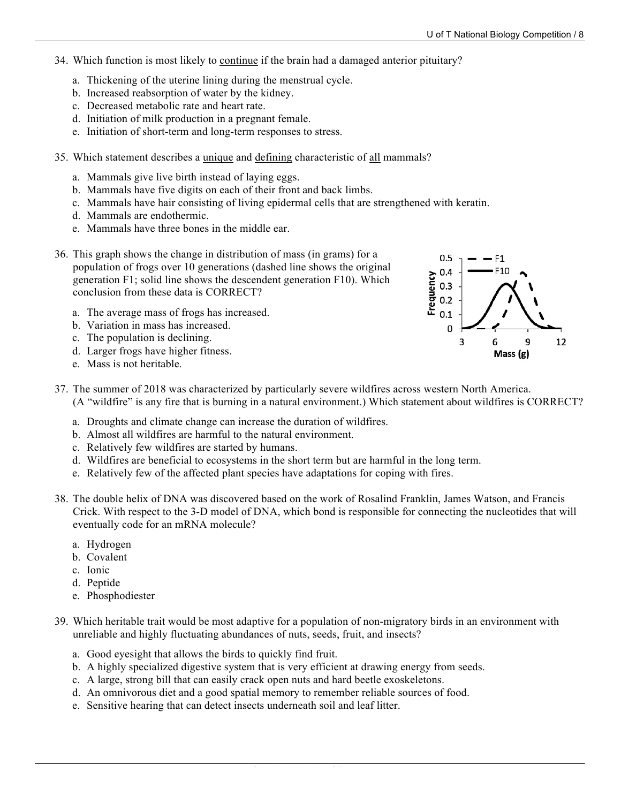- 34. Which function is most likely to continue if the brain had a damaged anterior pituitary?
	- a. Thickening of the uterine lining during the menstrual cycle.
	- b. Increased reabsorption of water by the kidney.
	- c. Decreased metabolic rate and heart rate.
	- d. Initiation of milk production in a pregnant female.
	- e. Initiation of short-term and long-term responses to stress.
- 35. Which statement describes a unique and defining characteristic of all mammals?
	- a. Mammals give live birth instead of laying eggs.
	- b. Mammals have five digits on each of their front and back limbs.
	- c. Mammals have hair consisting of living epidermal cells that are strengthened with keratin.
	- d. Mammals are endothermic.
	- e. Mammals have three bones in the middle ear.



- 36. This graph shows the change in distribution of mass (in grams) for a population of frogs over 10 generations (dashed line shows the original generation F1; solid line shows the descendent generation F10). Which conclusion from these data is CORRECT?
	- a. The average mass of frogs has increased.
	- b. Variation in mass has increased.
	- c. The population is declining.
	- d. Larger frogs have higher fitness.
	- e. Mass is not heritable.
- 37. The summer of 2018 was characterized by particularly severe wildfires across western North America. (A "wildfire" is any fire that is burning in a natural environment.) Which statement about wildfires is CORRECT?
	- a. Droughts and climate change can increase the duration of wildfires.
	- b. Almost all wildfires are harmful to the natural environment.
	- c. Relatively few wildfires are started by humans.
	- d. Wildfires are beneficial to ecosystems in the short term but are harmful in the long term.
	- e. Relatively few of the affected plant species have adaptations for coping with fires.
- 38. The double helix of DNA was discovered based on the work of Rosalind Franklin, James Watson, and Francis Crick. With respect to the 3-D model of DNA, which bond is responsible for connecting the nucleotides that will eventually code for an mRNA molecule?
	- a. Hydrogen
	- b. Covalent
	- c. Ionic
	- d. Peptide
	- e. Phosphodiester
- 39. Which heritable trait would be most adaptive for a population of non-migratory birds in an environment with unreliable and highly fluctuating abundances of nuts, seeds, fruit, and insects?
	- a. Good eyesight that allows the birds to quickly find fruit.
	- b. A highly specialized digestive system that is very efficient at drawing energy from seeds.
	- c. A large, strong bill that can easily crack open nuts and hard beetle exoskeletons.
	- d. An omnivorous diet and a good spatial memory to remember reliable sources of food.
	- e. Sensitive hearing that can detect insects underneath soil and leaf litter.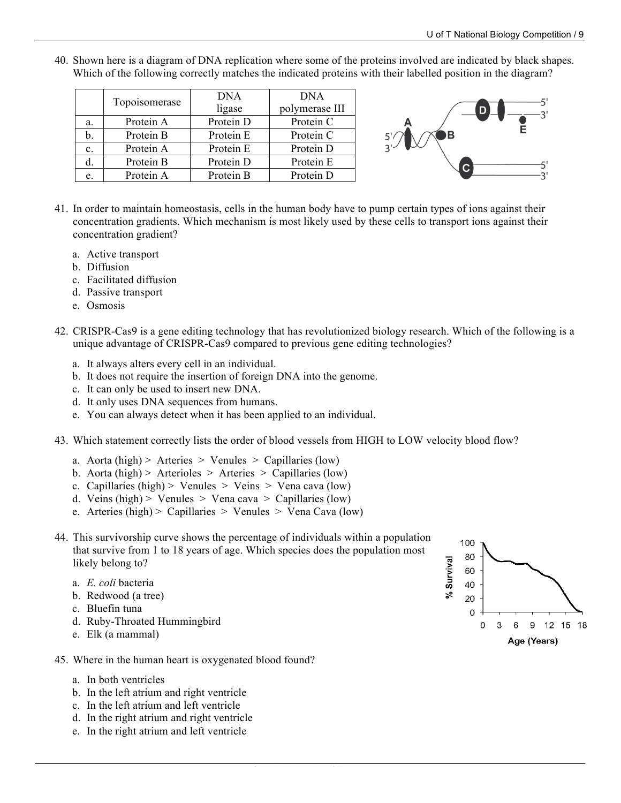40. Shown here is a diagram of DNA replication where some of the proteins involved are indicated by black shapes. Which of the following correctly matches the indicated proteins with their labelled position in the diagram?

|    | Topoisomerase | <b>DNA</b> | <b>DNA</b>     |
|----|---------------|------------|----------------|
|    |               | ligase     | polymerase III |
| a. | Protein A     | Protein D  | Protein C      |
| b. | Protein B     | Protein E  | Protein C      |
| c. | Protein A     | Protein E  | Protein D      |
|    | Protein B     | Protein D  | Protein E      |
| e. | Protein A     | Protein B  | Protein D      |
|    |               |            |                |



- 41. In order to maintain homeostasis, cells in the human body have to pump certain types of ions against their concentration gradients. Which mechanism is most likely used by these cells to transport ions against their concentration gradient?
	- a. Active transport
	- b. Diffusion
	- c. Facilitated diffusion
	- d. Passive transport
	- e. Osmosis
- 42. CRISPR-Cas9 is a gene editing technology that has revolutionized biology research. Which of the following is a unique advantage of CRISPR-Cas9 compared to previous gene editing technologies?
	- a. It always alters every cell in an individual.
	- b. It does not require the insertion of foreign DNA into the genome.
	- c. It can only be used to insert new DNA.
	- d. It only uses DNA sequences from humans.
	- e. You can always detect when it has been applied to an individual.
- 43. Which statement correctly lists the order of blood vessels from HIGH to LOW velocity blood flow?
	- a. Aorta (high) > Arteries > Venules > Capillaries (low)
	- b. Aorta (high) > Arterioles > Arteries > Capillaries (low)
	- c. Capillaries (high) > Venules > Veins > Vena cava (low)
	- d. Veins (high) > Venules > Vena cava > Capillaries (low)
	- e. Arteries (high) > Capillaries > Venules > Vena Cava (low)



- a. *E. coli* bacteria
- b. Redwood (a tree)
- c. Bluefin tuna
- d. Ruby-Throated Hummingbird
- e. Elk (a mammal)
- 45. Where in the human heart is oxygenated blood found?
	- a. In both ventricles
	- b. In the left atrium and right ventricle
	- c. In the left atrium and left ventricle
	- d. In the right atrium and right ventricle
	- e. In the right atrium and left ventricle